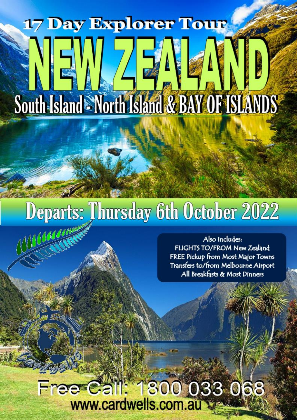# **17 Day Explorer Tour** South Island North Island & BAY OF ISLANDS

## Departs: Thursday 6th October 2022 10000000

Also Includes: FLIGHTS TO/FROM New Zealand FREE Pickup from Most Major Towns Transfers to/from Melbourne Airport All Breakfasts & Most Dinners

### Free Call: 1800 033 068 www.cardwells.com.au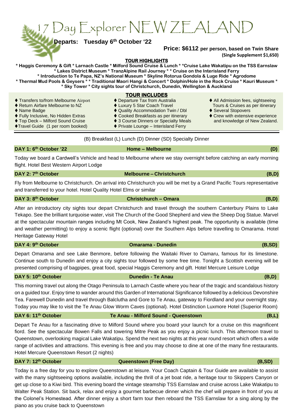17 Day Explorer NEW ZEALAND

**Departs:** Tuesday 6<sup>th</sup> October '22

#### **Price: \$6112 per person, based on Twin Share (Single Supplement \$1,650)**

**there** – **Melbourne** (D)

**the Christchurch** (B,D)

**Christchurch – Omara** (B,D)

**TOUR HIGHLIGHTS** 

**\* Haggis Ceremony & Gift \* Larnach Castle \* Milford Sound Cruise & Lunch \* \*Cruise Lake Wakatipu on the TSS Earnslaw \* Lakes District Museum \* TranzAlpine Rail Journey \* \* Cruise on the Interisland Ferry \* Introduction to Te Papa, NZ's National Museum \* Skyline Rotorua Gondola & Luge Ride \* Agrodome \* Thermal Mud Pools & Geysers \* \* Traditional Maori Hangi & Concert \* Dolphin/Hole in the Rock Cruise \* Kauri Museum \* \* Sky Tower \* City sights tour of Christchurch, Dunedin, Wellington & Auckland**

|  | <b>TOUR INCLUDES</b> |  |
|--|----------------------|--|
|  |                      |  |

- ◆ Transfers to/from Melbourne Airport → ◆ Departure Tax from Australia → ◆ All Admission fees, sightseeing<br>◆ Return Airfare Melbourne to NZ → → Luxury 5 Star Coach Travel → Tours & Cruises as per itinerary
- ♦ Return Airfare Melbourne to NZ ↑ ♦ Luxury 5 Star Coach Travel Tours & Cruises as per itinerary
- ⧫ Name Badge ⧫ Quality Accommodation Twin / Dbl ⧫ Several Stopovers
	-
- ◆ Fully Inclusive, No Hidden Extras ◆ Cooked Breakfasts as per itinerary ◆ Crew with extensive experience<br>◆ Top Deck Milford Sound Cruise → 3 Course Dinners or Specialty Meals and knowledge of New Zealand. ♦ 3 Course Dinners or Specialty Meals and knowledge of New Zealand.
- ⧫Travel Guide (1 per room booked) ⧫ Private Lounge Interisland Ferry
	- (B) Breakfast (L) Lunch (D) Dinner (SD) Specialty Dinner

#### DAY 1: 6<sup>th</sup> October '22

Today we board a Cardwell's Vehicle and head to Melbourne where we stay overnight before catching an early morning flight. Hotel Best Western Airport Lodge

#### DAY 2: 7<sup>th</sup> October

Fly from Melbourne to Christchurch. On arrival into Christchurch you will be met by a Grand Pacific Tours representative and transferred to your hotel. Hotel Quality Hotel Elms or similar

#### **DAY 3: 8**

After an introductory city sights tour depart Christchurch and travel through the southern Canterbury Plains to Lake Tekapo. See the brilliant turquoise water, visit The Church of the Good Shepherd and view the Sheep Dog Statue. Marvel at the spectacular mountain ranges including Mt Cook, New Zealand's highest peak. The opportunity is available (time and weather permitting) to enjoy a scenic flight (optional) over the Southern Alps before travelling to Omarama. Hotel Heritage Gateway Hotel

#### DAY 4: 9<sup>th</sup> October

#### **there** Omarama **-** Dunedin (B,SD)

Depart Omarama and see Lake Benmore, before following the Waitaki River to Oamaru, famous for its limestone. Continue south to Dunedin and enjoy a city sights tour followed by some free time. Tonight a Scottish evening will be presented comprising of bagpipes, great food, special Haggis Ceremony and gift. Hotel Mercure Leisure Lodge

#### **DAY 5: 10th October Dunedin - Te Anau (B,D)**

This morning travel out along the Otago Peninsula to Larnach Castle where you hear of the tragic and scandalous history on a guided tour. Enjoy time to wander around this Garden of International Significance followed by a delicious Devonshire Tea. Farewell Dunedin and travel through Balclutha and Gore to Te Anau, gateway to Fiordland and your overnight stay. Today you may like to visit the Te Anau Glow Worm Caves (optional). Hotel Distinction Luxmore Hotel (Superior Room)

#### **DAY 6: 11th October Te Anau - Milford Sound - Queenstown (B,L)**

Depart Te Anau for a fascinating drive to Milford Sound where you board your launch for a cruise on this magnificent fiord. See the spectacular Bowen Falls and towering Mitre Peak as you enjoy a picnic lunch. This afternoon travel to Queenstown, overlooking magical Lake Wakatipu. Spend the next two nights at this year round resort which offers a wide range of activities and attractions. This evening is free and you may choose to dine at one of the many fine restaurants. Hotel Mercure Queenstown Resort (2 nights)

#### **DAY 7: 12<sup>th</sup> October Case Construction Construction (Free Day) (B,SD)** (B,SD)

Today is a free day for you to explore Queenstown at leisure. Your Coach Captain & Tour Guide are available to assist with the many sightseeing options available, including the thrill of a jet boat ride, a heritage tour to Skippers Canyon or get up close to a Kiwi bird. This evening board the vintage steamship TSS Earnslaw and cruise across Lake Wakatipu to Walter Peak Station. Sit back, relax and enjoy a gourmet barbecue dinner which the chef will prepare in front of you at the Colonel's Homestead. After dinner enjoy a short farm tour then reboard the TSS Earnslaw for a sing along by the piano as you cruise back to Queenstown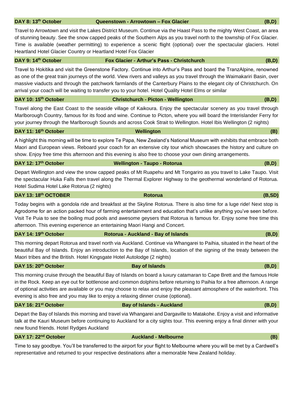#### **DAY 8: 13th October Queenstown - Arrowtown – Fox Glacier (B,D)**

Travel to Arrowtown and visit the Lakes District Museum. Continue via the Haast Pass to the mighty West Coast, an area of stunning beauty. See the snow capped peaks of the Southern Alps as you travel north to the township of Fox Glacier. Time is available (weather permitting) to experience a scenic flight (optional) over the spectacular glaciers. Hotel Heartland Hotel Glacier Country or Heartland Hotel Fox Glacier

| DAY 9: 14th October                                                                                                  | Fox Glacier - Arthur's Pass - Christchurch                                                                                 | (B,D) |  |  |
|----------------------------------------------------------------------------------------------------------------------|----------------------------------------------------------------------------------------------------------------------------|-------|--|--|
| Travel to Hokitika and visit the Greenstone Factory. Continue into Arthur's Pass and board the TranzAlpine, renowned |                                                                                                                            |       |  |  |
|                                                                                                                      | as one of the great train journeys of the world. View rivers and valleys as you travel through the Waimakariri Basin, over |       |  |  |
|                                                                                                                      | massive viaducts and through the patchwork farmlands of the Canterbury Plains to the elegant city of Christchurch. On      |       |  |  |

arrival your coach will be waiting to transfer you to your hotel. Hotel Quality Hotel Elms or similar **DAY 10: 15th October Christchurch - Picton - Wellington (B,D)**

Travel along the East Coast to the seaside village of Kaikoura. Enjoy the spectacular scenery as you travel through Marlborough Country, famous for its food and wine. Continue to Picton, where you will board the Interislander Ferry for your journey through the Marlborough Sounds and across Cook Strait to Wellington. Hotel Ibis Wellington (2 nights)

#### **DAY 11: 16th October Wellington (B)**

A highlight this morning will be time to explore Te Papa, New Zealand's National Museum with exhibits that embrace both Maori and European views. Reboard your coach for an extensive city tour which showcases the history and culture on show. Enjoy free time this afternoon and this evening is also free to choose your own dining arrangements.

#### **DAY 12: 17th October Wellington - Taupo - Rotorua (B,D)**

Depart Wellington and view the snow capped peaks of Mt Ruapehu and Mt Tongariro as you travel to Lake Taupo. Visit the spectacular Huka Falls then travel along the Thermal Explorer Highway to the geothermal wonderland of Rotorua. Hotel Sudima Hotel Lake Rotorua (2 nights)

#### **DAY 13: 18<sup>th</sup> OCTOBER Rotorua Rotorua Rotorua** (B,SD)

Today begins with a gondola ride and breakfast at the Skyline Rotorua. There is also time for a luge ride! Next stop is Agrodome for an action packed hour of farming entertainment and education that's unlike anything you've seen before. Visit Te Puia to see the boiling mud pools and awesome geysers that Rotorua is famous for. Enjoy some free time this afternoon. This evening experience an entertaining Maori Hangi and Concert.

#### **DAY 14: 19th October Rotorua - Auckland - Bay of Islands (B,D)**

This morning depart Rotorua and travel north via Auckland. Continue via Whangarei to Paihia, situated in the heart of the

**DAY 15: 20<sup>th</sup> October Bay of Islands** (B,D)

Maori tribes and the British. Hotel Kingsgate Hotel Autolodge (2 nights)

This morning cruise through the beautiful Bay of Islands on board a luxury catamaran to Cape Brett and the famous Hole in the Rock. Keep an eye out for bottlenose and common dolphins before returning to Paihia for a free afternoon. A range of optional activities are available or you may choose to relax and enjoy the pleasant atmosphere of the waterfront. This evening is also free and you may like to enjoy a relaxing dinner cruise (optional).

#### **DAY 16: 21st October Bay of Islands - Auckland (B,D)**

Depart the Bay of Islands this morning and travel via Whangarei and Dargaville to Matakohe. Enjoy a visit and informative talk at the Kauri Museum before continuing to Auckland for a city sights tour. This evening enjoy a final dinner with your new found friends. Hotel Rydges Auckland

#### **DAY 17: 22nd October Auckland - Melbourne (B)**

Time to say goodbye. You'll be transferred to the airport for your flight to Melbourne where you will be met by a Cardwell's representative and returned to your respective destinations after a memorable New Zealand holiday.

beautiful Bay of Islands. Enjoy an introduction to the Bay of Islands, location of the signing of the treaty between the